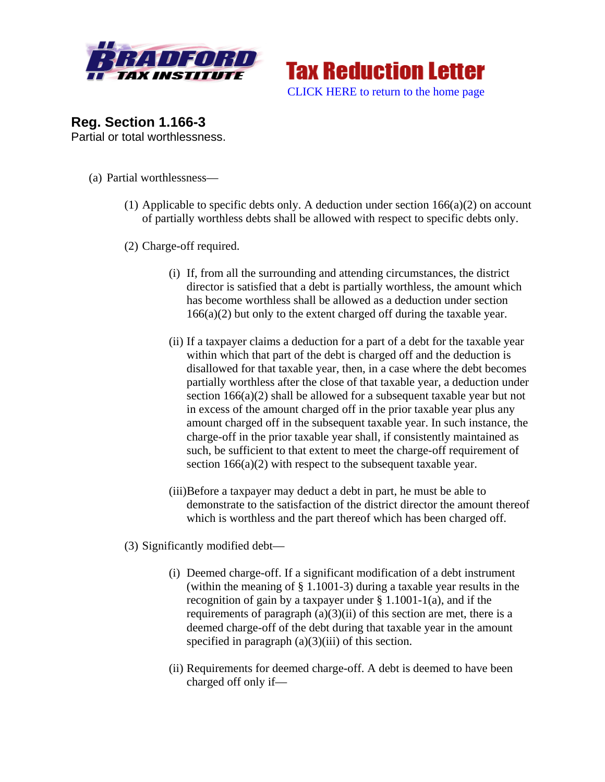



**Reg. Section 1.166-3** Partial or total worthlessness.

- (a) Partial worthlessness—
	- (1) Applicable to specific debts only. A deduction under section  $166(a)(2)$  on account of partially worthless debts shall be allowed with respect to specific debts only.
	- (2) Charge-off required.
		- (i) If, from all the surrounding and attending circumstances, the district director is satisfied that a debt is partially worthless, the amount which has become worthless shall be allowed as a deduction under section  $166(a)(2)$  but only to the extent charged off during the taxable year.
		- (ii) If a taxpayer claims a deduction for a part of a debt for the taxable year within which that part of the debt is charged off and the deduction is disallowed for that taxable year, then, in a case where the debt becomes partially worthless after the close of that taxable year, a deduction under section 166(a)(2) shall be allowed for a subsequent taxable year but not in excess of the amount charged off in the prior taxable year plus any amount charged off in the subsequent taxable year. In such instance, the charge-off in the prior taxable year shall, if consistently maintained as such, be sufficient to that extent to meet the charge-off requirement of section 166(a)(2) with respect to the subsequent taxable year.
		- (iii)Before a taxpayer may deduct a debt in part, he must be able to demonstrate to the satisfaction of the district director the amount thereof which is worthless and the part thereof which has been charged off.
	- (3) Significantly modified debt—
		- (i) Deemed charge-off. If a significant modification of a debt instrument (within the meaning of § 1.1001-3) during a taxable year results in the recognition of gain by a taxpayer under § 1.1001-1(a), and if the requirements of paragraph  $(a)(3)(ii)$  of this section are met, there is a deemed charge-off of the debt during that taxable year in the amount specified in paragraph  $(a)(3)(iii)$  of this section.
		- (ii) Requirements for deemed charge-off. A debt is deemed to have been charged off only if—